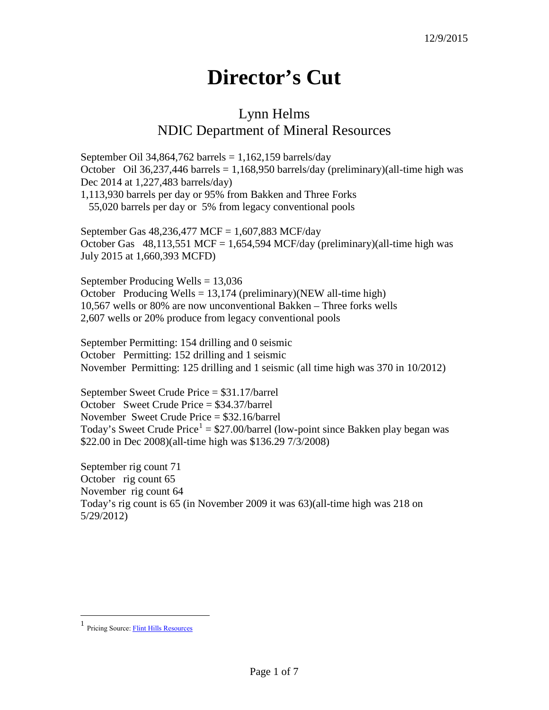## **Director's Cut**

## Lynn Helms NDIC Department of Mineral Resources

September Oil 34,864,762 barrels =  $1,162,159$  barrels/day October Oil 36,237,446 barrels = 1,168,950 barrels/day (preliminary)(all-time high was Dec 2014 at 1,227,483 barrels/day) 1,113,930 barrels per day or 95% from Bakken and Three Forks 55,020 barrels per day or 5% from legacy conventional pools

September Gas 48,236,477 MCF = 1,607,883 MCF/day October Gas  $48,113,551$  MCF = 1,654,594 MCF/day (preliminary)(all-time high was July 2015 at 1,660,393 MCFD)

September Producing Wells = 13,036 October Producing Wells =  $13,174$  (preliminary)(NEW all-time high) 10,567 wells or 80% are now unconventional Bakken – Three forks wells 2,607 wells or 20% produce from legacy conventional pools

September Permitting: 154 drilling and 0 seismic October Permitting: 152 drilling and 1 seismic November Permitting: 125 drilling and 1 seismic (all time high was 370 in 10/2012)

September Sweet Crude Price = \$31.17/barrel October Sweet Crude Price = \$34.37/barrel November Sweet Crude Price = \$32.16/barrel Today's Sweet Crude Price<sup>[1](#page-0-0)</sup> = \$27.00/barrel (low-point since Bakken play began was \$22.00 in Dec 2008)(all-time high was \$136.29 7/3/2008)

September rig count 71 October rig count 65 November rig count 64 Today's rig count is 65 (in November 2009 it was 63)(all-time high was 218 on 5/29/2012)

<span id="page-0-0"></span> $\frac{1}{1}$ Pricing Source[: Flint Hills Resources](http://www.fhr.com/refining/bulletins.aspx?AspxAutoDetectCookieSupport=1)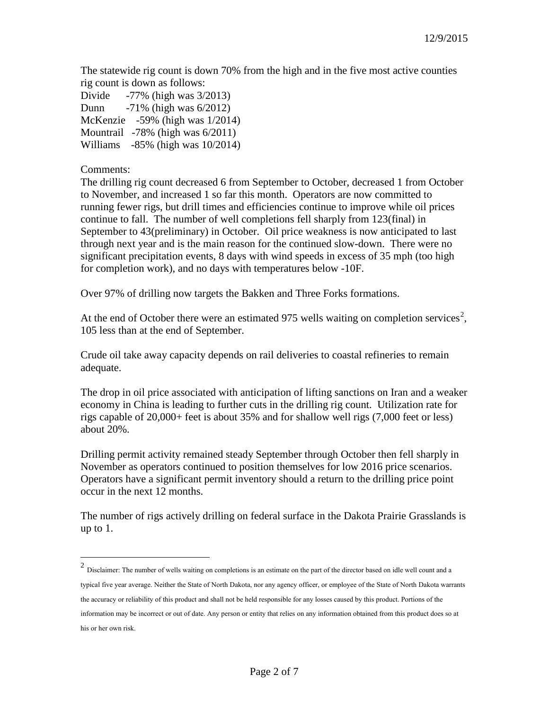The statewide rig count is down 70% from the high and in the five most active counties rig count is down as follows:

Divide -77% (high was 3/2013) Dunn -71% (high was 6/2012) McKenzie -59% (high was 1/2014) Mountrail -78% (high was 6/2011) Williams -85% (high was 10/2014)

## Comments:

The drilling rig count decreased 6 from September to October, decreased 1 from October to November, and increased 1 so far this month. Operators are now committed to running fewer rigs, but drill times and efficiencies continue to improve while oil prices continue to fall. The number of well completions fell sharply from 123(final) in September to 43(preliminary) in October. Oil price weakness is now anticipated to last through next year and is the main reason for the continued slow-down. There were no significant precipitation events, 8 days with wind speeds in excess of 35 mph (too high for completion work), and no days with temperatures below -10F.

Over 97% of drilling now targets the Bakken and Three Forks formations.

At the end of October there were an estimated 975 wells waiting on completion services<sup>[2](#page-1-0)</sup>, 105 less than at the end of September.

Crude oil take away capacity depends on rail deliveries to coastal refineries to remain adequate.

The drop in oil price associated with anticipation of lifting sanctions on Iran and a weaker economy in China is leading to further cuts in the drilling rig count. Utilization rate for rigs capable of 20,000+ feet is about 35% and for shallow well rigs (7,000 feet or less) about 20%.

Drilling permit activity remained steady September through October then fell sharply in November as operators continued to position themselves for low 2016 price scenarios. Operators have a significant permit inventory should a return to the drilling price point occur in the next 12 months.

The number of rigs actively drilling on federal surface in the Dakota Prairie Grasslands is up to 1.

<span id="page-1-0"></span> <sup>2</sup> Disclaimer: The number of wells waiting on completions is an estimate on the part of the director based on idle well count and a typical five year average. Neither the State of North Dakota, nor any agency officer, or employee of the State of North Dakota warrants the accuracy or reliability of this product and shall not be held responsible for any losses caused by this product. Portions of the information may be incorrect or out of date. Any person or entity that relies on any information obtained from this product does so at his or her own risk.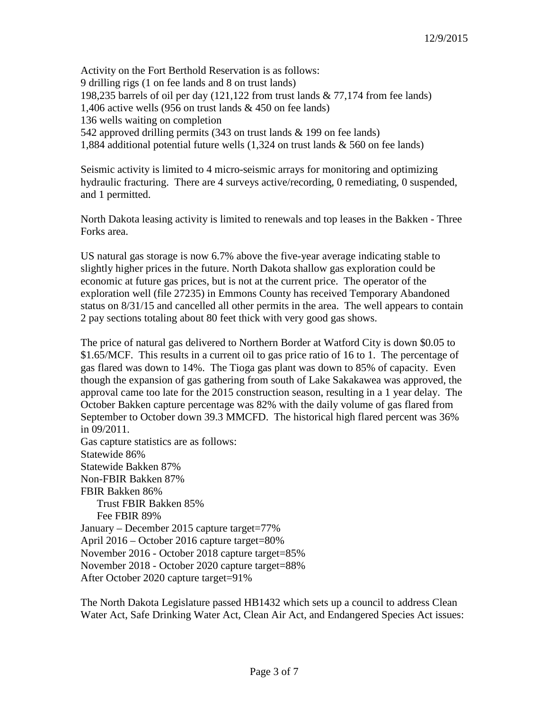Activity on the Fort Berthold Reservation is as follows: 9 drilling rigs (1 on fee lands and 8 on trust lands) 198,235 barrels of oil per day (121,122 from trust lands & 77,174 from fee lands) 1,406 active wells (956 on trust lands & 450 on fee lands) 136 wells waiting on completion 542 approved drilling permits (343 on trust lands & 199 on fee lands) 1,884 additional potential future wells (1,324 on trust lands & 560 on fee lands)

Seismic activity is limited to 4 micro-seismic arrays for monitoring and optimizing hydraulic fracturing. There are 4 surveys active/recording, 0 remediating, 0 suspended, and 1 permitted.

North Dakota leasing activity is limited to renewals and top leases in the Bakken - Three Forks area.

US natural gas storage is now 6.7% above the five-year average indicating stable to slightly higher prices in the future. North Dakota shallow gas exploration could be economic at future gas prices, but is not at the current price. The operator of the exploration well (file 27235) in Emmons County has received Temporary Abandoned status on 8/31/15 and cancelled all other permits in the area. The well appears to contain 2 pay sections totaling about 80 feet thick with very good gas shows.

The price of natural gas delivered to Northern Border at Watford City is down \$0.05 to \$1.65/MCF. This results in a current oil to gas price ratio of 16 to 1. The percentage of gas flared was down to 14%. The Tioga gas plant was down to 85% of capacity. Even though the expansion of gas gathering from south of Lake Sakakawea was approved, the approval came too late for the 2015 construction season, resulting in a 1 year delay. The October Bakken capture percentage was 82% with the daily volume of gas flared from September to October down 39.3 MMCFD. The historical high flared percent was 36% in 09/2011.

Gas capture statistics are as follows: Statewide 86% Statewide Bakken 87% Non-FBIR Bakken 87% FBIR Bakken 86% Trust FBIR Bakken 85% Fee FBIR 89% January – December 2015 capture target=77% April 2016 – October 2016 capture target=80% November 2016 - October 2018 capture target=85% November 2018 - October 2020 capture target=88% After October 2020 capture target=91%

The North Dakota Legislature passed HB1432 which sets up a council to address Clean Water Act, Safe Drinking Water Act, Clean Air Act, and Endangered Species Act issues: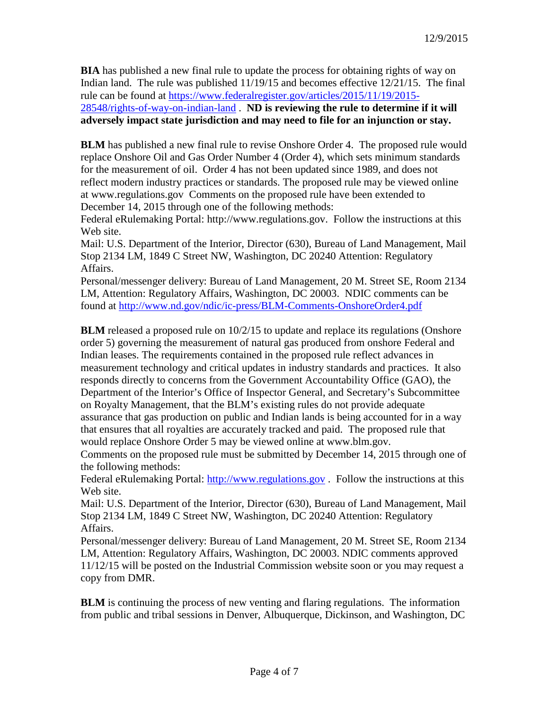**BIA** has published a new final rule to update the process for obtaining rights of way on Indian land. The rule was published 11/19/15 and becomes effective 12/21/15. The final rule can be found at [https://www.federalregister.gov/articles/2015/11/19/2015-](https://www.federalregister.gov/articles/2015/11/19/2015-28548/rights-of-way-on-indian-land) [28548/rights-of-way-on-indian-land](https://www.federalregister.gov/articles/2015/11/19/2015-28548/rights-of-way-on-indian-land) . **ND is reviewing the rule to determine if it will adversely impact state jurisdiction and may need to file for an injunction or stay.**

**BLM** has published a new final rule to revise Onshore Order 4. The proposed rule would replace Onshore Oil and Gas Order Number 4 (Order 4), which sets minimum standards for the measurement of oil. Order 4 has not been updated since 1989, and does not reflect modern industry practices or standards. The proposed rule may be viewed online at www.regulations.gov Comments on the proposed rule have been extended to December 14, 2015 through one of the following methods:

Federal eRulemaking Portal: http://www.regulations.gov. Follow the instructions at this Web site.

Mail: U.S. Department of the Interior, Director (630), Bureau of Land Management, Mail Stop 2134 LM, 1849 C Street NW, Washington, DC 20240 Attention: Regulatory Affairs.

Personal/messenger delivery: Bureau of Land Management, 20 M. Street SE, Room 2134 LM, Attention: Regulatory Affairs, Washington, DC 20003. NDIC comments can be found at<http://www.nd.gov/ndic/ic-press/BLM-Comments-OnshoreOrder4.pdf>

**BLM** released a proposed rule on  $10/2/15$  to update and replace its regulations (Onshore order 5) governing the measurement of natural gas produced from onshore Federal and Indian leases. The requirements contained in the proposed rule reflect advances in measurement technology and critical updates in industry standards and practices. It also responds directly to concerns from the Government Accountability Office (GAO), the Department of the Interior's Office of Inspector General, and Secretary's Subcommittee on Royalty Management, that the BLM's existing rules do not provide adequate assurance that gas production on public and Indian lands is being accounted for in a way that ensures that all royalties are accurately tracked and paid. The proposed rule that would replace Onshore Order 5 may be viewed online at www.blm.gov.

Comments on the proposed rule must be submitted by December 14, 2015 through one of the following methods:

Federal eRulemaking Portal: [http://www.regulations.gov](http://www.regulations.gov/). Follow the instructions at this Web site.

Mail: U.S. Department of the Interior, Director (630), Bureau of Land Management, Mail Stop 2134 LM, 1849 C Street NW, Washington, DC 20240 Attention: Regulatory Affairs.

Personal/messenger delivery: Bureau of Land Management, 20 M. Street SE, Room 2134 LM, Attention: Regulatory Affairs, Washington, DC 20003. NDIC comments approved 11/12/15 will be posted on the Industrial Commission website soon or you may request a copy from DMR.

**BLM** is continuing the process of new venting and flaring regulations. The information from public and tribal sessions in Denver, Albuquerque, Dickinson, and Washington, DC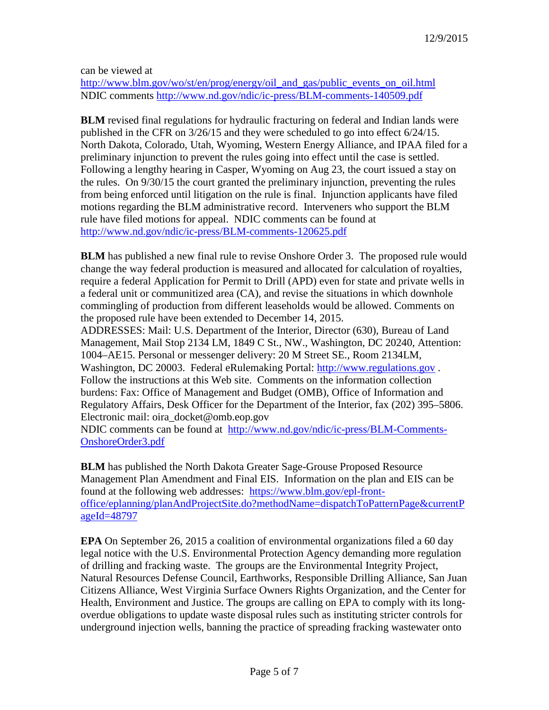can be viewed at

[http://www.blm.gov/wo/st/en/prog/energy/oil\\_and\\_gas/public\\_events\\_on\\_oil.html](http://www.blm.gov/wo/st/en/prog/energy/oil_and_gas/public_events_on_oil.html) NDIC comments<http://www.nd.gov/ndic/ic-press/BLM-comments-140509.pdf>

**BLM** revised final regulations for hydraulic fracturing on federal and Indian lands were published in the CFR on 3/26/15 and they were scheduled to go into effect 6/24/15. North Dakota, Colorado, Utah, Wyoming, Western Energy Alliance, and IPAA filed for a preliminary injunction to prevent the rules going into effect until the case is settled. Following a lengthy hearing in Casper, Wyoming on Aug 23, the court issued a stay on the rules. On 9/30/15 the court granted the preliminary injunction, preventing the rules from being enforced until litigation on the rule is final. Injunction applicants have filed motions regarding the BLM administrative record. Interveners who support the BLM rule have filed motions for appeal. NDIC comments can be found at <http://www.nd.gov/ndic/ic-press/BLM-comments-120625.pdf>

**BLM** has published a new final rule to revise Onshore Order 3. The proposed rule would change the way federal production is measured and allocated for calculation of royalties, require a federal Application for Permit to Drill (APD) even for state and private wells in a federal unit or communitized area (CA), and revise the situations in which downhole commingling of production from different leaseholds would be allowed. Comments on the proposed rule have been extended to December 14, 2015.

ADDRESSES: Mail: U.S. Department of the Interior, Director (630), Bureau of Land Management, Mail Stop 2134 LM, 1849 C St., NW., Washington, DC 20240, Attention: 1004–AE15. Personal or messenger delivery: 20 M Street SE., Room 2134LM, Washington, DC 20003. Federal eRulemaking Portal: [http://www.regulations.gov](http://www.regulations.gov/) . Follow the instructions at this Web site. Comments on the information collection burdens: Fax: Office of Management and Budget (OMB), Office of Information and Regulatory Affairs, Desk Officer for the Department of the Interior, fax (202) 395–5806. Electronic mail: oira\_docket@omb.eop.gov

NDIC comments can be found at [http://www.nd.gov/ndic/ic-press/BLM-Comments-](http://www.nd.gov/ndic/ic-press/BLM-Comments-OnshoreOrder3.pdf)[OnshoreOrder3.pdf](http://www.nd.gov/ndic/ic-press/BLM-Comments-OnshoreOrder3.pdf)

**BLM** has published the North Dakota Greater Sage-Grouse Proposed Resource Management Plan Amendment and Final EIS. Information on the plan and EIS can be found at the following web addresses: [https://www.blm.gov/epl-front](https://www.blm.gov/epl-front-office/eplanning/planAndProjectSite.do?methodName=dispatchToPatternPage¤tPageId=48797)[office/eplanning/planAndProjectSite.do?methodName=dispatchToPatternPage&currentP](https://www.blm.gov/epl-front-office/eplanning/planAndProjectSite.do?methodName=dispatchToPatternPage¤tPageId=48797) [ageId=48797](https://www.blm.gov/epl-front-office/eplanning/planAndProjectSite.do?methodName=dispatchToPatternPage¤tPageId=48797)

**EPA** On September 26, 2015 a coalition of environmental organizations filed a 60 day legal notice with the U.S. Environmental Protection Agency demanding more regulation of drilling and fracking waste. The groups are the Environmental Integrity Project, Natural Resources Defense Council, Earthworks, Responsible Drilling Alliance, San Juan Citizens Alliance, West Virginia Surface Owners Rights Organization, and the Center for Health, Environment and Justice. The groups are calling on EPA to comply with its longoverdue obligations to update waste disposal rules such as instituting stricter controls for underground injection wells, banning the practice of spreading fracking wastewater onto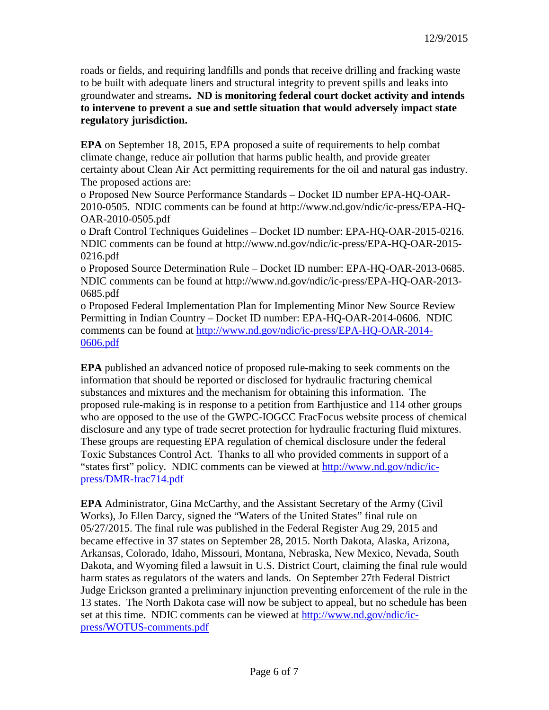roads or fields, and requiring landfills and ponds that receive drilling and fracking waste to be built with adequate liners and structural integrity to prevent spills and leaks into groundwater and streams**. ND is monitoring federal court docket activity and intends to intervene to prevent a sue and settle situation that would adversely impact state regulatory jurisdiction.**

**EPA** on September 18, 2015, EPA proposed a suite of requirements to help combat climate change, reduce air pollution that harms public health, and provide greater certainty about Clean Air Act permitting requirements for the oil and natural gas industry. The proposed actions are:

o Proposed New Source Performance Standards – Docket ID number EPA-HQ-OAR-2010-0505. NDIC comments can be found at http://www.nd.gov/ndic/ic-press/EPA-HQ-OAR-2010-0505.pdf

o Draft Control Techniques Guidelines – Docket ID number: EPA-HQ-OAR-2015-0216. NDIC comments can be found at http://www.nd.gov/ndic/ic-press/EPA-HQ-OAR-2015- 0216.pdf

o Proposed Source Determination Rule – Docket ID number: EPA-HQ-OAR-2013-0685. NDIC comments can be found at http://www.nd.gov/ndic/ic-press/EPA-HQ-OAR-2013- 0685.pdf

o Proposed Federal Implementation Plan for Implementing Minor New Source Review Permitting in Indian Country – Docket ID number: EPA-HQ-OAR-2014-0606. NDIC comments can be found at [http://www.nd.gov/ndic/ic-press/EPA-HQ-OAR-2014-](http://www.nd.gov/ndic/ic-press/EPA-HQ-OAR-2014-0606.pdf) [0606.pdf](http://www.nd.gov/ndic/ic-press/EPA-HQ-OAR-2014-0606.pdf)

**EPA** published an advanced notice of proposed rule-making to seek comments on the information that should be reported or disclosed for hydraulic fracturing chemical substances and mixtures and the mechanism for obtaining this information. The proposed rule-making is in response to a petition from Earthjustice and 114 other groups who are opposed to the use of the GWPC-IOGCC FracFocus website process of chemical disclosure and any type of trade secret protection for hydraulic fracturing fluid mixtures. These groups are requesting EPA regulation of chemical disclosure under the federal Toxic Substances Control Act. Thanks to all who provided comments in support of a "states first" policy. NDIC comments can be viewed at [http://www.nd.gov/ndic/ic](http://www.nd.gov/ndic/ic-press/DMR-frac714.pdf)[press/DMR-frac714.pdf](http://www.nd.gov/ndic/ic-press/DMR-frac714.pdf)

**EPA** Administrator, Gina McCarthy, and the Assistant Secretary of the Army (Civil Works), Jo Ellen Darcy, signed the "Waters of the United States" final rule on 05/27/2015. The final rule was published in the Federal Register Aug 29, 2015 and became effective in 37 states on September 28, 2015. North Dakota, Alaska, Arizona, Arkansas, Colorado, Idaho, Missouri, Montana, Nebraska, New Mexico, Nevada, South Dakota, and Wyoming filed a lawsuit in U.S. District Court, claiming the final rule would harm states as regulators of the waters and lands. On September 27th Federal District Judge Erickson granted a preliminary injunction preventing enforcement of the rule in the 13 states. The North Dakota case will now be subject to appeal, but no schedule has been set at this time. NDIC comments can be viewed at [http://www.nd.gov/ndic/ic](http://www.nd.gov/ndic/ic-press/WOTUS-comments.pdf)[press/WOTUS-comments.pdf](http://www.nd.gov/ndic/ic-press/WOTUS-comments.pdf)